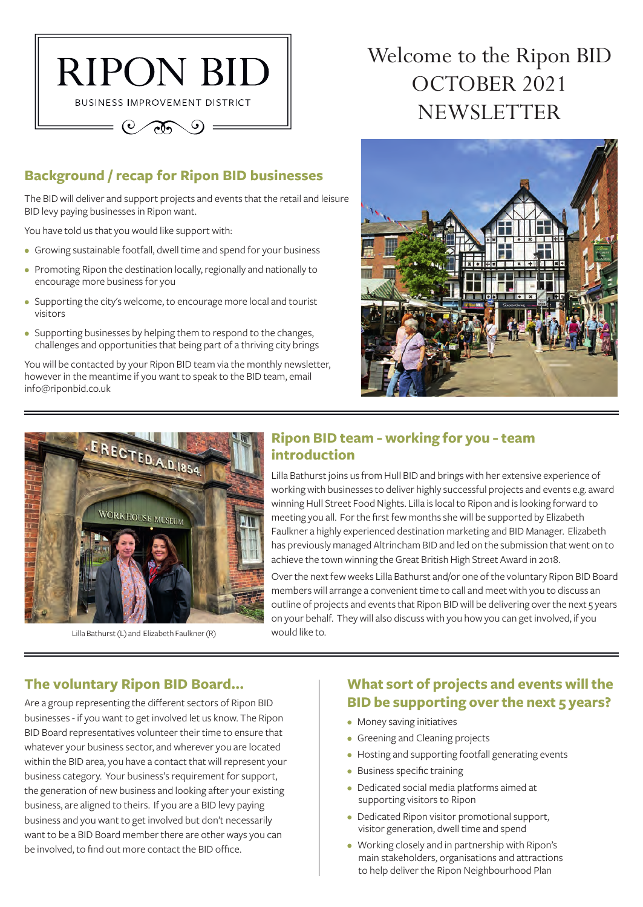

## **Background / recap for Ripon BID businesses**

The BID will deliver and support projects and events that the retail and leisure BID levy paying businesses in Ripon want.

You have told us that you would like support with:

- Growing sustainable footfall, dwell time and spend for your business
- Promoting Ripon the destination locally, regionally and nationally to encourage more business for you
- Supporting the city's welcome, to encourage more local and tourist visitors
- Supporting businesses by helping them to respond to the changes, challenges and opportunities that being part of a thriving city brings

You will be contacted by your Ripon BID team via the monthly newsletter, however in the meantime if you want to speak to the BID team, email info@riponbid.co.uk

# Welcome to the Ripon BID OCTOBER 2021 NEWSLETTER





Lilla Bathurst (L) and Elizabeth Faulkner (R)

#### **Ripon BID team - working for you - team introduction**

Lilla Bathurst joins us from Hull BID and brings with her extensive experience of working with businesses to deliver highly successful projects and events e.g. award winning Hull Street Food Nights. Lilla is local to Ripon and is looking forward to meeting you all. For the first few months she will be supported by Elizabeth Faulkner a highly experienced destination marketing and BID Manager. Elizabeth has previously managed Altrincham BID and led on the submission that went on to achieve the town winning the Great British High Street Award in 2018.

Over the next few weeks Lilla Bathurst and/or one of the voluntary Ripon BID Board members will arrange a convenient time to call and meet with you to discuss an outline of projects and events that Ripon BID will be delivering over the next 5 years on your behalf. They will also discuss with you how you can get involved, if you would like to.

#### **The voluntary Ripon BID Board...**

Are a group representing the different sectors of Ripon BID businesses - if you want to get involved let us know. The Ripon BID Board representatives volunteer their time to ensure that whatever your business sector, and wherever you are located within the BID area, you have a contact that will represent your business category. Your business's requirement for support, the generation of new business and looking after your existing business, are aligned to theirs. If you are a BID levy paying business and you want to get involved but don't necessarily want to be a BID Board member there are other ways you can be involved, to find out more contact the BID office.

## **What sort of projects and events will the BID be supporting over the next 5 years?**

- Money saving initiatives
- Greening and Cleaning projects
- Hosting and supporting footfall generating events
- Business specific training
- Dedicated social media platforms aimed at supporting visitors to Ripon
- Dedicated Ripon visitor promotional support, visitor generation, dwell time and spend
- Working closely and in partnership with Ripon's main stakeholders, organisations and attractions to help deliver the Ripon Neighbourhood Plan